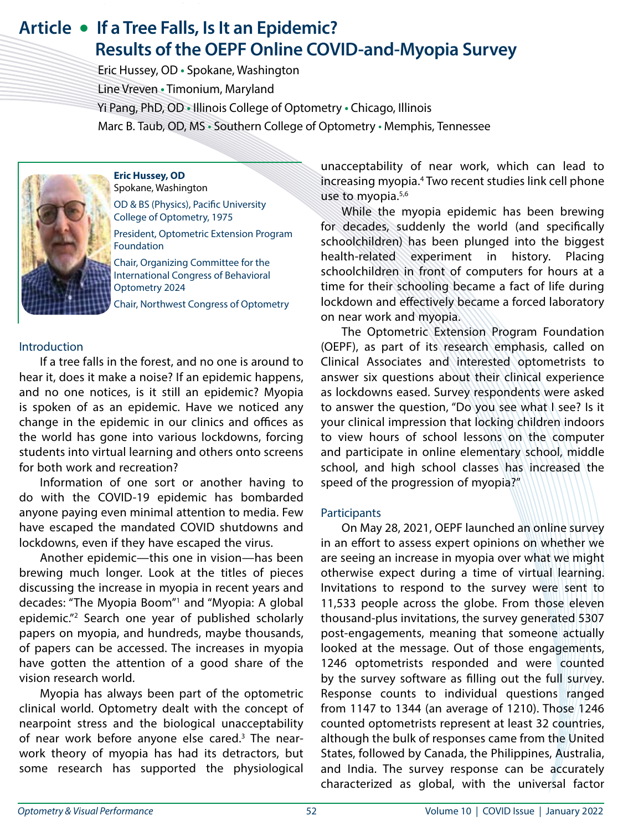# **Article • If a Tree Falls, Is It an Epidemic? Results of the OEPF Online COVID-and-Myopia Survey**

 Eric Hussey, OD **•** Spokane, Washington Line Vreven **•** Timonium, Maryland Yi Pang, PhD, OD **•** Illinois College of Optometry **•** Chicago, Illinois Marc B. Taub, OD, MS • Southern College of Optometry • Memphis, Tennessee



**Eric Hussey, OD** Spokane, Washington OD & BS (Physics), Pacific University College of Optometry, 1975

President, Optometric Extension Program Foundation

Chair, Organizing Committee for the International Congress of Behavioral Optometry 2024

Chair, Northwest Congress of Optometry

#### Introduction

If a tree falls in the forest, and no one is around to hear it, does it make a noise? If an epidemic happens, and no one notices, is it still an epidemic? Myopia is spoken of as an epidemic. Have we noticed any change in the epidemic in our clinics and offices as the world has gone into various lockdowns, forcing students into virtual learning and others onto screens for both work and recreation?

Information of one sort or another having to do with the COVID-19 epidemic has bombarded anyone paying even minimal attention to media. Few have escaped the mandated COVID shutdowns and lockdowns, even if they have escaped the virus.

Another epidemic—this one in vision—has been brewing much longer. Look at the titles of pieces discussing the increase in myopia in recent years and decades: "The Myopia Boom"1 and "Myopia: A global epidemic."2 Search one year of published scholarly papers on myopia, and hundreds, maybe thousands, of papers can be accessed. The increases in myopia have gotten the attention of a good share of the vision research world.

Myopia has always been part of the optometric clinical world. Optometry dealt with the concept of nearpoint stress and the biological unacceptability of near work before anyone else cared.<sup>3</sup> The nearwork theory of myopia has had its detractors, but some research has supported the physiological unacceptability of near work, which can lead to increasing myopia.4 Two recent studies link cell phone use to myopia.<sup>5,6</sup>

While the myopia epidemic has been brewing for decades, suddenly the world (and specifically schoolchildren) has been plunged into the biggest health-related experiment in history. Placing schoolchildren in front of computers for hours at a time for their schooling became a fact of life during lockdown and effectively became a forced laboratory on near work and myopia.

The Optometric Extension Program Foundation (OEPF), as part of its research emphasis, called on Clinical Associates and interested optometrists to answer six questions about their clinical experience as lockdowns eased. Survey respondents were asked to answer the question, "Do you see what I see? Is it your clinical impression that locking children indoors to view hours of school lessons on the computer and participate in online elementary school, middle school, and high school classes has increased the speed of the progression of myopia?"

#### **Participants**

On May 28, 2021, OEPF launched an online survey in an effort to assess expert opinions on whether we are seeing an increase in myopia over what we might otherwise expect during a time of virtual learning. Invitations to respond to the survey were sent to 11,533 people across the globe. From those eleven thousand-plus invitations, the survey generated 5307 post-engagements, meaning that someone actually looked at the message. Out of those engagements, 1246 optometrists responded and were counted by the survey software as filling out the full survey. Response counts to individual questions ranged from 1147 to 1344 (an average of 1210). Those 1246 counted optometrists represent at least 32 countries, although the bulk of responses came from the United States, followed by Canada, the Philippines, Australia, and India. The survey response can be accurately characterized as global, with the universal factor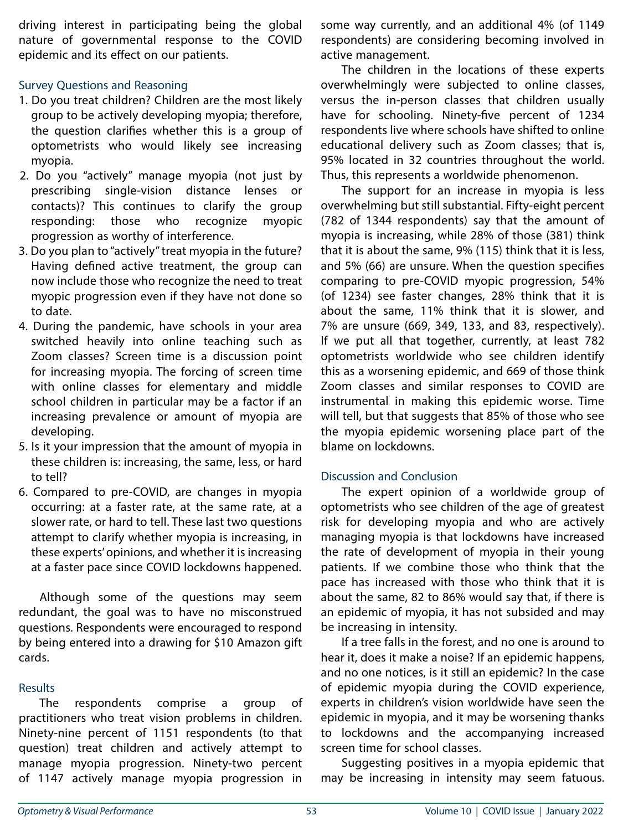driving interest in participating being the global nature of governmental response to the COVID epidemic and its effect on our patients.

## Survey Questions and Reasoning

- 1. Do you treat children? Children are the most likely group to be actively developing myopia; therefore, the question clarifies whether this is a group of optometrists who would likely see increasing myopia.
- 2. Do you "actively" manage myopia (not just by prescribing single-vision distance lenses or contacts)? This continues to clarify the group responding: those who recognize myopic progression as worthy of interference.
- 3. Do you plan to "actively" treat myopia in the future? Having defined active treatment, the group can now include those who recognize the need to treat myopic progression even if they have not done so to date.
- 4. During the pandemic, have schools in your area switched heavily into online teaching such as Zoom classes? Screen time is a discussion point for increasing myopia. The forcing of screen time with online classes for elementary and middle school children in particular may be a factor if an increasing prevalence or amount of myopia are developing.
- 5. Is it your impression that the amount of myopia in these children is: increasing, the same, less, or hard to tell?
- 6. Compared to pre-COVID, are changes in myopia occurring: at a faster rate, at the same rate, at a slower rate, or hard to tell. These last two questions attempt to clarify whether myopia is increasing, in these experts' opinions, and whether it is increasing at a faster pace since COVID lockdowns happened.

Although some of the questions may seem redundant, the goal was to have no misconstrued questions. Respondents were encouraged to respond by being entered into a drawing for \$10 Amazon gift cards.

#### **Results**

The respondents comprise a group of practitioners who treat vision problems in children. Ninety-nine percent of 1151 respondents (to that question) treat children and actively attempt to manage myopia progression. Ninety-two percent of 1147 actively manage myopia progression in

some way currently, and an additional 4% (of 1149 respondents) are considering becoming involved in active management.

The children in the locations of these experts overwhelmingly were subjected to online classes, versus the in-person classes that children usually have for schooling. Ninety-five percent of 1234 respondents live where schools have shifted to online educational delivery such as Zoom classes; that is, 95% located in 32 countries throughout the world. Thus, this represents a worldwide phenomenon.

The support for an increase in myopia is less overwhelming but still substantial. Fifty-eight percent (782 of 1344 respondents) say that the amount of myopia is increasing, while 28% of those (381) think that it is about the same, 9% (115) think that it is less, and 5% (66) are unsure. When the question specifies comparing to pre-COVID myopic progression, 54% (of 1234) see faster changes, 28% think that it is about the same, 11% think that it is slower, and 7% are unsure (669, 349, 133, and 83, respectively). If we put all that together, currently, at least 782 optometrists worldwide who see children identify this as a worsening epidemic, and 669 of those think Zoom classes and similar responses to COVID are instrumental in making this epidemic worse. Time will tell, but that suggests that 85% of those who see the myopia epidemic worsening place part of the blame on lockdowns.

## Discussion and Conclusion

The expert opinion of a worldwide group of optometrists who see children of the age of greatest risk for developing myopia and who are actively managing myopia is that lockdowns have increased the rate of development of myopia in their young patients. If we combine those who think that the pace has increased with those who think that it is about the same, 82 to 86% would say that, if there is an epidemic of myopia, it has not subsided and may be increasing in intensity.

If a tree falls in the forest, and no one is around to hear it, does it make a noise? If an epidemic happens, and no one notices, is it still an epidemic? In the case of epidemic myopia during the COVID experience, experts in children's vision worldwide have seen the epidemic in myopia, and it may be worsening thanks to lockdowns and the accompanying increased screen time for school classes.

Suggesting positives in a myopia epidemic that may be increasing in intensity may seem fatuous.